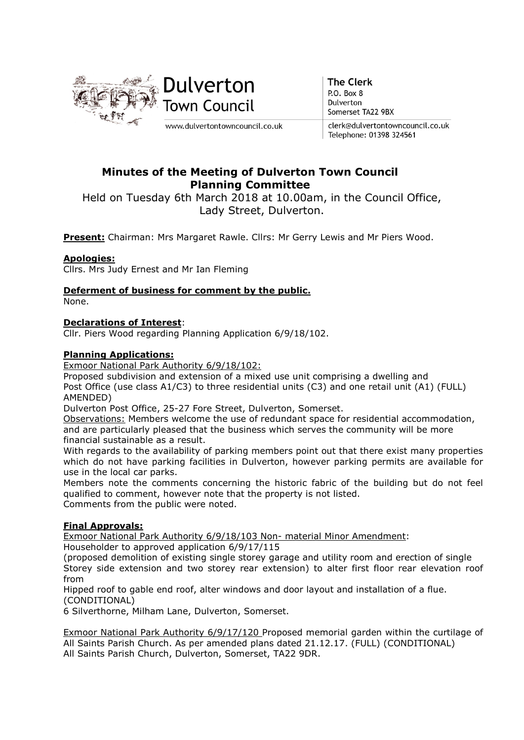

**The Clerk** P.O. Box 8 Dulverton Somerset TA22 9BX

clerk@dulvertontowncouncil.co.uk Telephone: 01398 324561

# Minutes of the Meeting of Dulverton Town Council Planning Committee

Held on Tuesday 6th March 2018 at 10.00am, in the Council Office, Lady Street, Dulverton.

Present: Chairman: Mrs Margaret Rawle. Cllrs: Mr Gerry Lewis and Mr Piers Wood.

## Apologies:

Cllrs. Mrs Judy Ernest and Mr Ian Fleming

## Deferment of business for comment by the public.

None.

## Declarations of Interest:

Cllr. Piers Wood regarding Planning Application 6/9/18/102.

### Planning Applications:

Exmoor National Park Authority 6/9/18/102:

Proposed subdivision and extension of a mixed use unit comprising a dwelling and Post Office (use class A1/C3) to three residential units (C3) and one retail unit (A1) (FULL) AMENDED)

Dulverton Post Office, 25-27 Fore Street, Dulverton, Somerset.

Observations: Members welcome the use of redundant space for residential accommodation, and are particularly pleased that the business which serves the community will be more financial sustainable as a result.

With regards to the availability of parking members point out that there exist many properties which do not have parking facilities in Dulverton, however parking permits are available for use in the local car parks.

Members note the comments concerning the historic fabric of the building but do not feel qualified to comment, however note that the property is not listed. Comments from the public were noted.

## Final Approvals:

Exmoor National Park Authority 6/9/18/103 Non- material Minor Amendment: Householder to approved application 6/9/17/115

(proposed demolition of existing single storey garage and utility room and erection of single Storey side extension and two storey rear extension) to alter first floor rear elevation roof from

Hipped roof to gable end roof, alter windows and door layout and installation of a flue. (CONDITIONAL)

6 Silverthorne, Milham Lane, Dulverton, Somerset.

Exmoor National Park Authority 6/9/17/120 Proposed memorial garden within the curtilage of All Saints Parish Church. As per amended plans dated 21.12.17. (FULL) (CONDITIONAL) All Saints Parish Church, Dulverton, Somerset, TA22 9DR.